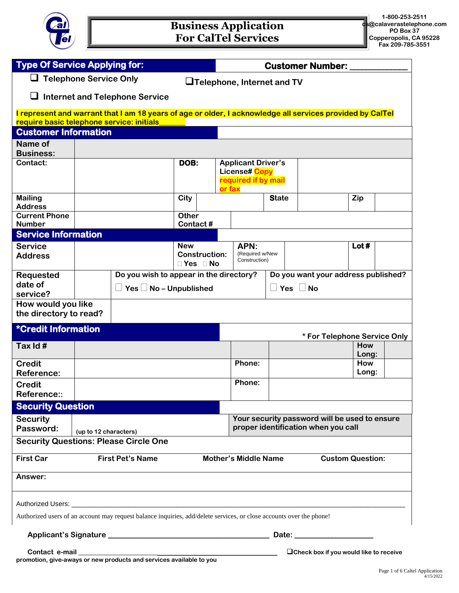

| <b>Type Of Service Applying for:</b>                                                                                                                                                                                                                                                                     |                       |                                         |                                    |        | <b>Customer Number:</b>              |                      |                                                                                                                                                                                                                                      |              |  |
|----------------------------------------------------------------------------------------------------------------------------------------------------------------------------------------------------------------------------------------------------------------------------------------------------------|-----------------------|-----------------------------------------|------------------------------------|--------|--------------------------------------|----------------------|--------------------------------------------------------------------------------------------------------------------------------------------------------------------------------------------------------------------------------------|--------------|--|
| $\Box$ Telephone Service Only<br>$\Box$ Telephone, Internet and TV                                                                                                                                                                                                                                       |                       |                                         |                                    |        |                                      |                      |                                                                                                                                                                                                                                      |              |  |
| <b>Internet and Telephone Service</b>                                                                                                                                                                                                                                                                    |                       |                                         |                                    |        |                                      |                      |                                                                                                                                                                                                                                      |              |  |
| I represent and warrant that I am 18 years of age or older, I acknowledge all services provided by CalTel<br>require basic telephone service: initials                                                                                                                                                   |                       |                                         |                                    |        |                                      |                      |                                                                                                                                                                                                                                      |              |  |
| <b>Customer Information</b>                                                                                                                                                                                                                                                                              |                       |                                         |                                    |        |                                      |                      |                                                                                                                                                                                                                                      |              |  |
| Name of<br><b>Business:</b>                                                                                                                                                                                                                                                                              |                       |                                         |                                    |        |                                      |                      |                                                                                                                                                                                                                                      |              |  |
| Contact:                                                                                                                                                                                                                                                                                                 |                       |                                         | DOB:                               |        | <b>Applicant Driver's</b>            |                      |                                                                                                                                                                                                                                      |              |  |
|                                                                                                                                                                                                                                                                                                          |                       |                                         |                                    | or fax | License# Copy<br>required if by mail |                      |                                                                                                                                                                                                                                      |              |  |
| <b>Mailing</b><br><b>Address</b>                                                                                                                                                                                                                                                                         |                       |                                         | City                               |        |                                      | <b>State</b>         |                                                                                                                                                                                                                                      | Zip          |  |
| <b>Current Phone</b>                                                                                                                                                                                                                                                                                     |                       |                                         | <b>Other</b>                       |        |                                      |                      |                                                                                                                                                                                                                                      |              |  |
| <b>Number</b>                                                                                                                                                                                                                                                                                            |                       |                                         | Contact#                           |        |                                      |                      |                                                                                                                                                                                                                                      |              |  |
| <b>Service Information</b>                                                                                                                                                                                                                                                                               |                       |                                         |                                    |        |                                      |                      |                                                                                                                                                                                                                                      |              |  |
| <b>Service</b>                                                                                                                                                                                                                                                                                           |                       |                                         | <b>New</b>                         |        | APN:                                 |                      |                                                                                                                                                                                                                                      | Lot#         |  |
| <b>Address</b>                                                                                                                                                                                                                                                                                           |                       |                                         | <b>Construction:</b><br>□ Yes □ No |        | (Required w/New<br>Construction)     |                      |                                                                                                                                                                                                                                      |              |  |
| <b>Requested</b>                                                                                                                                                                                                                                                                                         |                       | Do you wish to appear in the directory? |                                    |        |                                      |                      | Do you want your address published?                                                                                                                                                                                                  |              |  |
| date of                                                                                                                                                                                                                                                                                                  |                       | Yes $\Box$ No – Unpublished             |                                    |        |                                      | $\Box$ Yes $\Box$ No |                                                                                                                                                                                                                                      |              |  |
| service?                                                                                                                                                                                                                                                                                                 |                       |                                         |                                    |        |                                      |                      |                                                                                                                                                                                                                                      |              |  |
| How would you like<br>the directory to read?                                                                                                                                                                                                                                                             |                       |                                         |                                    |        |                                      |                      |                                                                                                                                                                                                                                      |              |  |
| <b>*Credit Information</b><br>* For Telephone Service Only                                                                                                                                                                                                                                               |                       |                                         |                                    |        |                                      |                      |                                                                                                                                                                                                                                      |              |  |
| Tax Id#                                                                                                                                                                                                                                                                                                  |                       |                                         |                                    |        |                                      |                      |                                                                                                                                                                                                                                      | How<br>Long: |  |
| <b>Credit</b><br><b>Reference:</b>                                                                                                                                                                                                                                                                       |                       |                                         |                                    |        | Phone:                               |                      |                                                                                                                                                                                                                                      | How<br>Long: |  |
| <b>Credit</b>                                                                                                                                                                                                                                                                                            |                       |                                         |                                    |        | Phone:                               |                      |                                                                                                                                                                                                                                      |              |  |
| Reference::                                                                                                                                                                                                                                                                                              |                       |                                         |                                    |        |                                      |                      |                                                                                                                                                                                                                                      |              |  |
| <b>Security Question</b>                                                                                                                                                                                                                                                                                 |                       |                                         |                                    |        |                                      |                      |                                                                                                                                                                                                                                      |              |  |
| <b>Security</b>                                                                                                                                                                                                                                                                                          |                       |                                         |                                    |        |                                      |                      | Your security password will be used to ensure                                                                                                                                                                                        |              |  |
| Password:                                                                                                                                                                                                                                                                                                | (up to 12 characters) |                                         |                                    |        | proper identification when you call  |                      |                                                                                                                                                                                                                                      |              |  |
| <b>Security Questions: Please Circle One</b>                                                                                                                                                                                                                                                             |                       |                                         |                                    |        |                                      |                      |                                                                                                                                                                                                                                      |              |  |
| <b>Mother's Middle Name</b><br><b>First Car</b><br><b>First Pet's Name</b><br><b>Custom Question:</b>                                                                                                                                                                                                    |                       |                                         |                                    |        |                                      |                      |                                                                                                                                                                                                                                      |              |  |
| Answer:                                                                                                                                                                                                                                                                                                  |                       |                                         |                                    |        |                                      |                      |                                                                                                                                                                                                                                      |              |  |
|                                                                                                                                                                                                                                                                                                          |                       |                                         |                                    |        |                                      |                      |                                                                                                                                                                                                                                      |              |  |
| Authorized users of an account may request balance inquiries, add/delete services, or close accounts over the phone!                                                                                                                                                                                     |                       |                                         |                                    |        |                                      |                      |                                                                                                                                                                                                                                      |              |  |
|                                                                                                                                                                                                                                                                                                          |                       |                                         |                                    |        |                                      |                      | Date: <u>with the set of the set of the set of the set of the set of the set of the set of the set of the set of the set of the set of the set of the set of the set of the set of the set of the set of the set of the set of t</u> |              |  |
| Contact e-mail<br><b>Ocheck box if you would like to receive</b><br><u> 1980 - Johann John Harry Harry Harry Harry Harry Harry Harry Harry Harry Harry Harry Harry Harry Harry Harry Harry Harry Harry Harry Harry Harry Harry Harry Harry Harry Harry Harry Harry Harry Harry Harry Harry Harry Har</u> |                       |                                         |                                    |        |                                      |                      |                                                                                                                                                                                                                                      |              |  |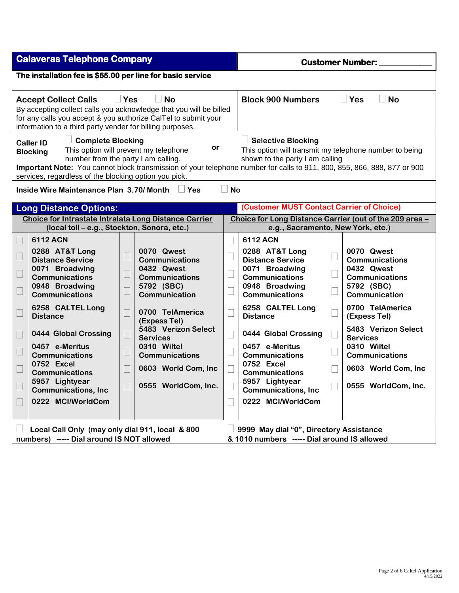| <b>Calaveras Telephone Company</b>                                                                                                                                                                                                                                                                                               |                                                                                                                                                                                                       |                                                                                                                                                                                                                  | <b>Customer Number:</b>                                                                                                                                                                                                                           |                                                                                                                                                                                                       |  |  |  |  |
|----------------------------------------------------------------------------------------------------------------------------------------------------------------------------------------------------------------------------------------------------------------------------------------------------------------------------------|-------------------------------------------------------------------------------------------------------------------------------------------------------------------------------------------------------|------------------------------------------------------------------------------------------------------------------------------------------------------------------------------------------------------------------|---------------------------------------------------------------------------------------------------------------------------------------------------------------------------------------------------------------------------------------------------|-------------------------------------------------------------------------------------------------------------------------------------------------------------------------------------------------------|--|--|--|--|
| The installation fee is \$55.00 per line for basic service                                                                                                                                                                                                                                                                       |                                                                                                                                                                                                       |                                                                                                                                                                                                                  |                                                                                                                                                                                                                                                   |                                                                                                                                                                                                       |  |  |  |  |
| $\Box$ Yes<br><b>Accept Collect Calls</b><br>By accepting collect calls you acknowledge that you will be billed<br>for any calls you accept & you authorize CalTel to submit your<br>information to a third party vender for billing purposes.                                                                                   | <b>No</b>                                                                                                                                                                                             |                                                                                                                                                                                                                  | <b>Block 900 Numbers</b><br><b>Yes</b><br><b>No</b>                                                                                                                                                                                               |                                                                                                                                                                                                       |  |  |  |  |
| <b>Complete Blocking</b><br><b>Caller ID</b><br>This option will prevent my telephone<br><b>Blocking</b><br>number from the party I am calling.<br>services, regardless of the blocking option you pick.                                                                                                                         | or                                                                                                                                                                                                    |                                                                                                                                                                                                                  | <b>Selective Blocking</b><br>This option will transmit my telephone number to being<br>shown to the party I am calling<br>Important Note: You cannot block transmission of your telephone number for calls to 911, 800, 855, 866, 888, 877 or 900 |                                                                                                                                                                                                       |  |  |  |  |
| <b>No</b><br>Inside Wire Maintenance Plan 3.70/ Month<br>$\Box$ Yes                                                                                                                                                                                                                                                              |                                                                                                                                                                                                       |                                                                                                                                                                                                                  |                                                                                                                                                                                                                                                   |                                                                                                                                                                                                       |  |  |  |  |
| <b>Long Distance Options:</b>                                                                                                                                                                                                                                                                                                    |                                                                                                                                                                                                       | (Customer MUST Contact Carrier of Choice)                                                                                                                                                                        |                                                                                                                                                                                                                                                   |                                                                                                                                                                                                       |  |  |  |  |
| Choice for Intrastate Intralata Long Distance Carrier                                                                                                                                                                                                                                                                            |                                                                                                                                                                                                       |                                                                                                                                                                                                                  | Choice for Long Distance Carrier (out of the 209 area -<br>e.g., Sacramento, New York, etc.)                                                                                                                                                      |                                                                                                                                                                                                       |  |  |  |  |
| (local toll - e.g., Stockton, Sonora, etc.)<br>6112 ACN                                                                                                                                                                                                                                                                          |                                                                                                                                                                                                       | <b>6112 ACN</b>                                                                                                                                                                                                  |                                                                                                                                                                                                                                                   |                                                                                                                                                                                                       |  |  |  |  |
| 0288 AT&T Long<br>$\Box$<br><b>Distance Service</b><br>0071 Broadwing<br>$\Box$<br>$\Box$<br><b>Communications</b><br>0948 Broadwing<br>$\Box$<br>$\Box$<br><b>Communications</b><br>6258 CALTEL Long<br>$\overline{\phantom{a}}$<br>L.<br><b>Distance</b><br>0444 Global Crossing<br>$\overline{\phantom{a}}$<br>0457 e-Meritus | 0070 Qwest<br><b>Communications</b><br>0432 Qwest<br><b>Communications</b><br>5792 (SBC)<br>Communication<br>0700 TelAmerica<br>(Expess Tel)<br>5483 Verizon Select<br><b>Services</b><br>0310 Wiltel | 0288 AT&T Long<br><b>Distance Service</b><br>0071 Broadwing<br><b>Communications</b><br>0948 Broadwing<br><b>Communications</b><br>6258 CALTEL Long<br><b>Distance</b><br>0444 Global Crossing<br>0457 e-Meritus |                                                                                                                                                                                                                                                   | 0070 Qwest<br><b>Communications</b><br>0432 Qwest<br><b>Communications</b><br>5792 (SBC)<br>Communication<br>0700 TelAmerica<br>(Expess Tel)<br>5483 Verizon Select<br><b>Services</b><br>0310 Wiltel |  |  |  |  |
| <b>Communications</b><br>0752 Excel                                                                                                                                                                                                                                                                                              | <b>Communications</b>                                                                                                                                                                                 | <b>Communications</b><br>0752 Excel                                                                                                                                                                              |                                                                                                                                                                                                                                                   | <b>Communications</b>                                                                                                                                                                                 |  |  |  |  |
| <b>Communications</b>                                                                                                                                                                                                                                                                                                            | 0603 World Com, Inc                                                                                                                                                                                   | <b>Communications</b>                                                                                                                                                                                            |                                                                                                                                                                                                                                                   | 0603 World Com, Inc                                                                                                                                                                                   |  |  |  |  |
| 5957 Lightyear<br>$\Box$<br><b>Communications, Inc</b>                                                                                                                                                                                                                                                                           | 0555 WorldCom, Inc.                                                                                                                                                                                   | 5957 Lightyear<br><b>Communications, Inc.</b>                                                                                                                                                                    |                                                                                                                                                                                                                                                   | 0555 WorldCom, Inc.                                                                                                                                                                                   |  |  |  |  |
| 0222 MCI/WorldCom                                                                                                                                                                                                                                                                                                                |                                                                                                                                                                                                       | 0222 MCI/WorldCom                                                                                                                                                                                                |                                                                                                                                                                                                                                                   |                                                                                                                                                                                                       |  |  |  |  |
| Local Call Only (may only dial 911, local & 800<br>numbers) ----- Dial around IS NOT allowed                                                                                                                                                                                                                                     |                                                                                                                                                                                                       | 9999 May dial "0", Directory Assistance<br>& 1010 numbers ----- Dial around IS allowed                                                                                                                           |                                                                                                                                                                                                                                                   |                                                                                                                                                                                                       |  |  |  |  |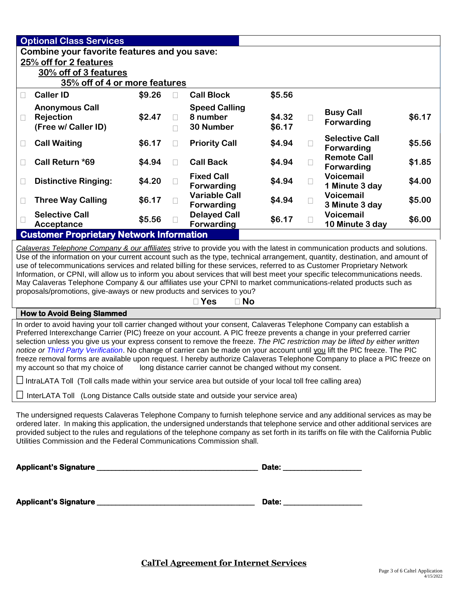|                                                                                                                                                                                                                                                                                                                                                                                                                                                                                                                                                                                                                                                                                                                                            | <b>Optional Class Services</b>                                                                                              |        |        |                                           |        |        |                                            |        |
|--------------------------------------------------------------------------------------------------------------------------------------------------------------------------------------------------------------------------------------------------------------------------------------------------------------------------------------------------------------------------------------------------------------------------------------------------------------------------------------------------------------------------------------------------------------------------------------------------------------------------------------------------------------------------------------------------------------------------------------------|-----------------------------------------------------------------------------------------------------------------------------|--------|--------|-------------------------------------------|--------|--------|--------------------------------------------|--------|
|                                                                                                                                                                                                                                                                                                                                                                                                                                                                                                                                                                                                                                                                                                                                            | Combine your favorite features and you save:                                                                                |        |        |                                           |        |        |                                            |        |
|                                                                                                                                                                                                                                                                                                                                                                                                                                                                                                                                                                                                                                                                                                                                            | 25% off for 2 features                                                                                                      |        |        |                                           |        |        |                                            |        |
|                                                                                                                                                                                                                                                                                                                                                                                                                                                                                                                                                                                                                                                                                                                                            | 30% off of 3 features<br>35% off of 4 or more features                                                                      |        |        |                                           |        |        |                                            |        |
| П                                                                                                                                                                                                                                                                                                                                                                                                                                                                                                                                                                                                                                                                                                                                          | <b>Caller ID</b>                                                                                                            | \$9.26 | П      | <b>Call Block</b>                         | \$5.56 |        |                                            |        |
|                                                                                                                                                                                                                                                                                                                                                                                                                                                                                                                                                                                                                                                                                                                                            | <b>Anonymous Call</b>                                                                                                       |        |        | <b>Speed Calling</b>                      |        |        |                                            |        |
| П                                                                                                                                                                                                                                                                                                                                                                                                                                                                                                                                                                                                                                                                                                                                          | Rejection                                                                                                                   | \$2.47 | $\Box$ | 8 number                                  | \$4.32 | П      | <b>Busy Call</b><br>Forwarding             | \$6.17 |
|                                                                                                                                                                                                                                                                                                                                                                                                                                                                                                                                                                                                                                                                                                                                            | (Free w/ Caller ID)                                                                                                         |        | $\Box$ | 30 Number                                 | \$6.17 |        |                                            |        |
| $\Box$                                                                                                                                                                                                                                                                                                                                                                                                                                                                                                                                                                                                                                                                                                                                     | <b>Call Waiting</b>                                                                                                         | \$6.17 | $\Box$ | <b>Priority Call</b>                      | \$4.94 | $\Box$ | <b>Selective Call</b><br><b>Forwarding</b> | \$5.56 |
| $\Box$                                                                                                                                                                                                                                                                                                                                                                                                                                                                                                                                                                                                                                                                                                                                     | Call Return *69                                                                                                             | \$4.94 | $\Box$ | <b>Call Back</b>                          | \$4.94 | П      | <b>Remote Call</b><br><b>Forwarding</b>    | \$1.85 |
| $\Box$                                                                                                                                                                                                                                                                                                                                                                                                                                                                                                                                                                                                                                                                                                                                     | <b>Distinctive Ringing:</b>                                                                                                 | \$4.20 | $\Box$ | <b>Fixed Call</b><br>Forwarding           | \$4.94 | П      | <b>Voicemail</b><br>1 Minute 3 day         | \$4.00 |
| $\Box$                                                                                                                                                                                                                                                                                                                                                                                                                                                                                                                                                                                                                                                                                                                                     | <b>Three Way Calling</b>                                                                                                    | \$6.17 | П      | <b>Variable Call</b><br><b>Forwarding</b> | \$4.94 | $\Box$ | <b>Voicemail</b><br>3 Minute 3 day         | \$5.00 |
|                                                                                                                                                                                                                                                                                                                                                                                                                                                                                                                                                                                                                                                                                                                                            | <b>Selective Call</b>                                                                                                       | \$5.56 |        | <b>Delayed Call</b>                       | \$6.17 | IJ     | <b>Voicemail</b>                           | \$6.00 |
|                                                                                                                                                                                                                                                                                                                                                                                                                                                                                                                                                                                                                                                                                                                                            | Acceptance<br><b>Customer Proprietary Network Information</b>                                                               |        |        | Forwarding                                |        |        | 10 Minute 3 day                            |        |
|                                                                                                                                                                                                                                                                                                                                                                                                                                                                                                                                                                                                                                                                                                                                            |                                                                                                                             |        |        |                                           |        |        |                                            |        |
|                                                                                                                                                                                                                                                                                                                                                                                                                                                                                                                                                                                                                                                                                                                                            | Calaveras Telephone Company & our affiliates strive to provide you with the latest in communication products and solutions. |        |        |                                           |        |        |                                            |        |
| Use of the information on your current account such as the type, technical arrangement, quantity, destination, and amount of<br>use of telecommunications services and related billing for these services, referred to as Customer Proprietary Network                                                                                                                                                                                                                                                                                                                                                                                                                                                                                     |                                                                                                                             |        |        |                                           |        |        |                                            |        |
| Information, or CPNI, will allow us to inform you about services that will best meet your specific telecommunications needs.<br>May Calaveras Telephone Company & our affiliates use your CPNI to market communications-related products such as                                                                                                                                                                                                                                                                                                                                                                                                                                                                                           |                                                                                                                             |        |        |                                           |        |        |                                            |        |
|                                                                                                                                                                                                                                                                                                                                                                                                                                                                                                                                                                                                                                                                                                                                            | proposals/promotions, give-aways or new products and services to you?                                                       |        |        |                                           |        |        |                                            |        |
| $\Box$ No<br>$\square$ Yes                                                                                                                                                                                                                                                                                                                                                                                                                                                                                                                                                                                                                                                                                                                 |                                                                                                                             |        |        |                                           |        |        |                                            |        |
| <b>How to Avoid Being Slammed</b>                                                                                                                                                                                                                                                                                                                                                                                                                                                                                                                                                                                                                                                                                                          |                                                                                                                             |        |        |                                           |        |        |                                            |        |
| In order to avoid having your toll carrier changed without your consent, Calaveras Telephone Company can establish a<br>Preferred Interexchange Carrier (PIC) freeze on your account. A PIC freeze prevents a change in your preferred carrier<br>selection unless you give us your express consent to remove the freeze. The PIC restriction may be lifted by either written<br>notice or Third Party Verification. No change of carrier can be made on your account until you lift the PIC freeze. The PIC<br>freeze removal forms are available upon request. I hereby authorize Calaveras Telephone Company to place a PIC freeze on<br>my account so that my choice of<br>long distance carrier cannot be changed without my consent. |                                                                                                                             |        |        |                                           |        |        |                                            |        |
| $\Box$ IntraLATA Toll (Toll calls made within your service area but outside of your local toll free calling area)                                                                                                                                                                                                                                                                                                                                                                                                                                                                                                                                                                                                                          |                                                                                                                             |        |        |                                           |        |        |                                            |        |
|                                                                                                                                                                                                                                                                                                                                                                                                                                                                                                                                                                                                                                                                                                                                            | InterLATA Toll (Long Distance Calls outside state and outside your service area)                                            |        |        |                                           |        |        |                                            |        |
|                                                                                                                                                                                                                                                                                                                                                                                                                                                                                                                                                                                                                                                                                                                                            |                                                                                                                             |        |        |                                           |        |        |                                            |        |

The undersigned requests Calaveras Telephone Company to furnish telephone service and any additional services as may be ordered later. In making this application, the undersigned understands that telephone service and other additional services are provided subject to the rules and regulations of the telephone company as set forth in its tariffs on file with the California Public Utilities Commission and the Federal Communications Commission shall.

| <b>Applicant's Signature</b> | Date: |
|------------------------------|-------|
|                              |       |
| <b>Applicant's Signature</b> | Date: |
|                              |       |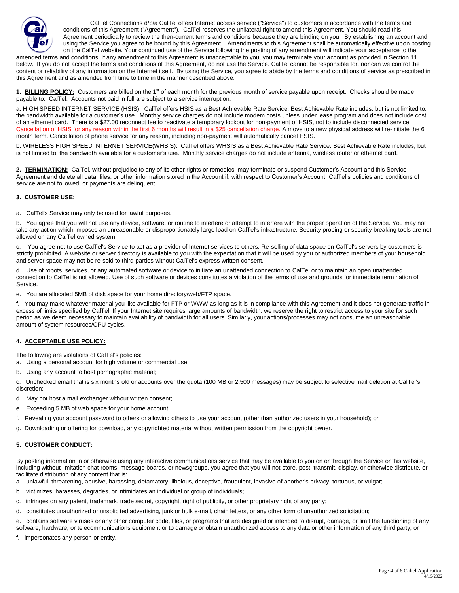

CalTel Connections d/b/a CalTel offers Internet access service ("Service") to customers in accordance with the terms and conditions of this Agreement ("Agreement"). CalTel reserves the unilateral right to amend this Agreement. You should read this Agreement periodically to review the then-current terms and conditions because they are binding on you. By establishing an account and using the Service you agree to be bound by this Agreement. Amendments to this Agreement shall be automatically effective upon posting on the CalTel website. Your continued use of the Service following the posting of any amendment will indicate your acceptance to the

amended terms and conditions. If any amendment to this Agreement is unacceptable to you, you may terminate your account as provided in Section 11 below. If you do not accept the terms and conditions of this Agreement, do not use the Service. CalTel cannot be responsible for, nor can we control the content or reliability of any information on the Internet itself. By using the Service, you agree to abide by the terms and conditions of service as prescribed in this Agreement and as amended from time to time in the manner described above.

1. BILLING POLICY: Customers are billed on the 1<sup>st</sup> of each month for the previous month of service payable upon receipt. Checks should be made payable to: CalTel. Accounts not paid in full are subject to a service interruption.

a. HIGH SPEED INTERNET SERVICE (HSIS): CalTel offers HSIS as a Best Achievable Rate Service. Best Achievable Rate includes, but is not limited to, the bandwidth available for a customer's use. Monthly service charges do not include modem costs unless under lease program and does not include cost of an ethernet card. There is a \$27.00 reconnect fee to reactivate a temporary lockout for non-payment of HSIS, not to include disconnected service. Cancellation of HSIS for any reason within the first 6 months will result in a \$25 cancellation charge. A move to a new physical address will re-initiate the 6 month term. Cancellation of phone service for any reason, including non-payment will automatically cancel HSIS.

b. WIRELESS HIGH SPEED INTERNET SERVICE(WHSIS): CalTel offers WHSIS as a Best Achievable Rate Service. Best Achievable Rate includes, but is not limited to, the bandwidth available for a customer's use. Monthly service charges do not include antenna, wireless router or ethernet card.

2. TERMINATION: CalTel, without prejudice to any of its other rights or remedies, may terminate or suspend Customer's Account and this Service Agreement and delete all data, files, or other information stored in the Account if, with respect to Customer's Account, CalTel's policies and conditions of service are not followed, or payments are delinquent.

# **3. CUSTOMER USE:**

a. CalTel's Service may only be used for lawful purposes.

b. You agree that you will not use any device, software, or routine to interfere or attempt to interfere with the proper operation of the Service. You may not take any action which imposes an unreasonable or disproportionately large load on CalTel's infrastructure. Security probing or security breaking tools are not allowed on any CalTel owned system.

c. You agree not to use CalTel's Service to act as a provider of Internet services to others. Re-selling of data space on CalTel's servers by customers is strictly prohibited. A website or server directory is available to you with the expectation that it will be used by you or authorized members of your household and server space may not be re-sold to third-parties without CalTel's express written consent.

d. Use of robots, services, or any automated software or device to initiate an unattended connection to CalTel or to maintain an open unattended connection to CalTel is not allowed. Use of such software or devices constitutes a violation of the terms of use and grounds for immediate termination of Service.

e. You are allocated 5MB of disk space for your home directory/web/FTP space.

f. You may make whatever material you like available for FTP or WWW as long as it is in compliance with this Agreement and it does not generate traffic in excess of limits specified by CalTel. If your Internet site requires large amounts of bandwidth, we reserve the right to restrict access to your site for such period as we deem necessary to maintain availability of bandwidth for all users. Similarly, your actions/processes may not consume an unreasonable amount of system resources/CPU cycles.

## **4. ACCEPTABLE USE POLICY:**

The following are violations of CalTel's policies:

a. Using a personal account for high volume or commercial use;

b. Using any account to host pornographic material;

c. Unchecked email that is six months old or accounts over the quota (100 MB or 2,500 messages) may be subject to selective mail deletion at CalTel's discretion;

- d. May not host a mail exchanger without written consent;
- e. Exceeding 5 MB of web space for your home account;
- f. Revealing your account password to others or allowing others to use your account (other than authorized users in your household); or
- g. Downloading or offering for download, any copyrighted material without written permission from the copyright owner.

## **5. CUSTOMER CONDUCT:**

By posting information in or otherwise using any interactive communications service that may be available to you on or through the Service or this website, including without limitation chat rooms, message boards, or newsgroups, you agree that you will not store, post, transmit, display, or otherwise distribute, or facilitate distribution of any content that is:

- a. unlawful, threatening, abusive, harassing, defamatory, libelous, deceptive, fraudulent, invasive of another's privacy, tortuous, or vulgar;
- b. victimizes, harasses, degrades, or intimidates an individual or group of individuals;
- c. infringes on any patent, trademark, trade secret, copyright, right of publicity, or other proprietary right of any party;

d. constitutes unauthorized or unsolicited advertising, junk or bulk e-mail, chain letters, or any other form of unauthorized solicitation;

e. contains software viruses or any other computer code, files, or programs that are designed or intended to disrupt, damage, or limit the functioning of any software, hardware, or telecommunications equipment or to damage or obtain unauthorized access to any data or other information of any third party; or

f. impersonates any person or entity.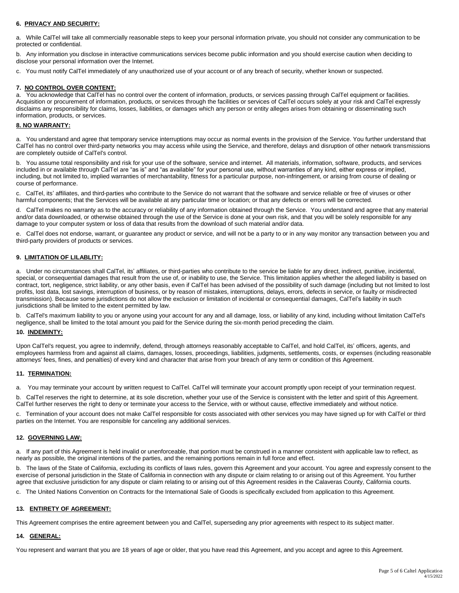## **6. PRIVACY AND SECURITY:**

a. While CalTel will take all commercially reasonable steps to keep your personal information private, you should not consider any communication to be protected or confidential.

b. Any information you disclose in interactive communications services become public information and you should exercise caution when deciding to disclose your personal information over the Internet.

c. You must notify CalTel immediately of any unauthorized use of your account or of any breach of security, whether known or suspected.

## **7. NO CONTROL OVER CONTENT:**

a. You acknowledge that CalTel has no control over the content of information, products, or services passing through CalTel equipment or facilities. Acquisition or procurement of information, products, or services through the facilities or services of CalTel occurs solely at your risk and CalTel expressly disclaims any responsibility for claims, losses, liabilities, or damages which any person or entity alleges arises from obtaining or disseminating such information, products, or services.

### **8. NO WARRANTY:**

a. You understand and agree that temporary service interruptions may occur as normal events in the provision of the Service. You further understand that CalTel has no control over third-party networks you may access while using the Service, and therefore, delays and disruption of other network transmissions are completely outside of CalTel's control.

b. You assume total responsibility and risk for your use of the software, service and internet. All materials, information, software, products, and services included in or available through CalTel are "as is" and "as available" for your personal use, without warranties of any kind, either express or implied, including, but not limited to, implied warranties of merchantability, fitness for a particular purpose, non-infringement, or arising from course of dealing or course of performance.

c. CalTel, its' affiliates, and third-parties who contribute to the Service do not warrant that the software and service reliable or free of viruses or other harmful components; that the Services will be available at any particular time or location; or that any defects or errors will be corrected.

d. CalTel makes no warranty as to the accuracy or reliability of any information obtained through the Service. You understand and agree that any material and/or data downloaded, or otherwise obtained through the use of the Service is done at your own risk, and that you will be solely responsible for any damage to your computer system or loss of data that results from the download of such material and/or data.

e. CalTel does not endorse, warrant, or guarantee any product or service, and will not be a party to or in any way monitor any transaction between you and third-party providers of products or services.

#### **9. LIMITATION OF LILABLITY:**

a. Under no circumstances shall CalTel, its' affiliates, or third-parties who contribute to the service be liable for any direct, indirect, punitive, incidental, special, or consequential damages that result from the use of, or inability to use, the Service. This limitation applies whether the alleged liability is based on contract, tort, negligence, strict liability, or any other basis, even if CalTel has been advised of the possibility of such damage (including but not limited to lost profits, lost data, lost savings, interruption of business, or by reason of mistakes, interruptions, delays, errors, defects in service, or faulty or misdirected transmission). Because some jurisdictions do not allow the exclusion or limitation of incidental or consequential damages, CalTel's liability in such jurisdictions shall be limited to the extent permitted by law.

b. CalTel's maximum liability to you or anyone using your account for any and all damage, loss, or liability of any kind, including without limitation CalTel's negligence, shall be limited to the total amount you paid for the Service during the six-month period preceding the claim.

## **10. INDEMINTY:**

Upon CalTel's request, you agree to indemnify, defend, through attorneys reasonably acceptable to CalTel, and hold CalTel, its' officers, agents, and employees harmless from and against all claims, damages, losses, proceedings, liabilities, judgments, settlements, costs, or expenses (including reasonable attorneys' fees, fines, and penalties) of every kind and character that arise from your breach of any term or condition of this Agreement.

## **11. TERMINATION:**

a. You may terminate your account by written request to CalTel. CalTel will terminate your account promptly upon receipt of your termination request.

b. CalTel reserves the right to determine, at its sole discretion, whether your use of the Service is consistent with the letter and spirit of this Agreement. CalTel further reserves the right to deny or terminate your access to the Service, with or without cause, effective immediately and without notice.

c. Termination of your account does not make CalTel responsible for costs associated with other services you may have signed up for with CalTel or third parties on the Internet. You are responsible for canceling any additional services.

## **12. GOVERNING LAW:**

a. If any part of this Agreement is held invalid or unenforceable, that portion must be construed in a manner consistent with applicable law to reflect, as nearly as possible, the original intentions of the parties, and the remaining portions remain in full force and effect.

b. The laws of the State of California, excluding its conflicts of laws rules, govern this Agreement and your account. You agree and expressly consent to the exercise of personal jurisdiction in the State of California in connection with any dispute or claim relating to or arising out of this Agreement. You further agree that exclusive jurisdiction for any dispute or claim relating to or arising out of this Agreement resides in the Calaveras County, California courts.

c. The United Nations Convention on Contracts for the International Sale of Goods is specifically excluded from application to this Agreement.

## **13. ENTIRETY OF AGREEMENT:**

This Agreement comprises the entire agreement between you and CalTel, superseding any prior agreements with respect to its subject matter.

## **14. GENERAL:**

You represent and warrant that you are 18 years of age or older, that you have read this Agreement, and you accept and agree to this Agreement.